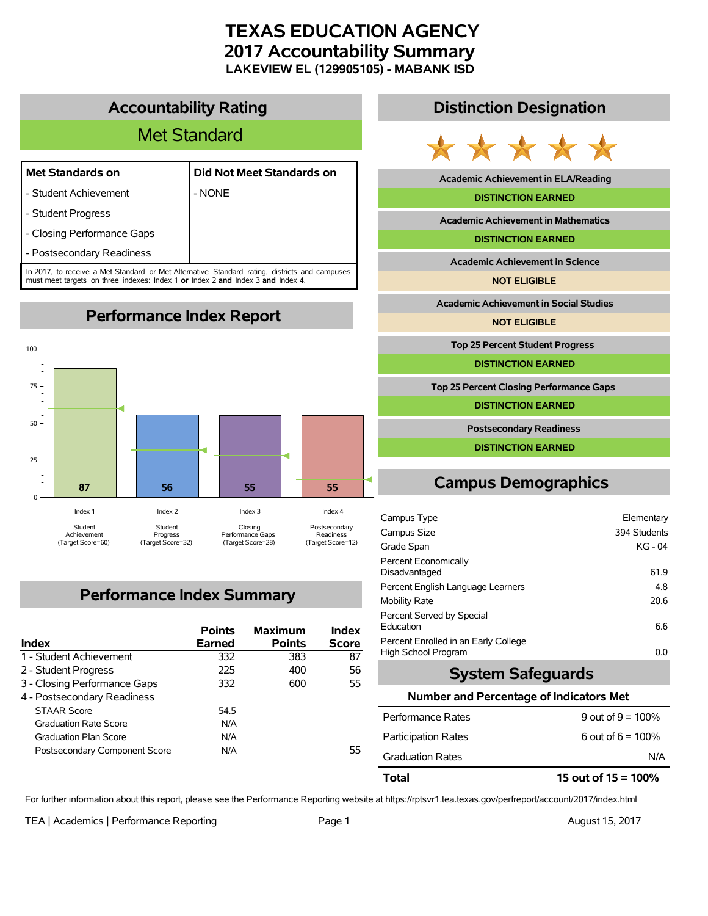# **TEXAS EDUCATION AGENCY 2017 Accountability Summary LAKEVIEW EL (129905105) - MABANK ISD**

# **Accountability Rating**

# Met Standard

## **Met Standards on Did Not Meet Standards on**

- Student Achievement | NONE
- Student Progress
- Closing Performance Gaps
- Postsecondary Readiness

In 2017, to receive a Met Standard or Met Alternative Standard rating, districts and campuses must meet targets on three indexes: Index 1 **or** Index 2 **and** Index 3 **and** Index 4.



# **Performance Index Summary**

| <b>Index</b>                  | <b>Points</b><br><b>Earned</b> | <b>Maximum</b><br><b>Points</b> | Index<br><b>Score</b> |
|-------------------------------|--------------------------------|---------------------------------|-----------------------|
| 1 - Student Achievement       | 332                            | 383                             | 87                    |
| 2 - Student Progress          | 225                            | 400                             | 56                    |
| 3 - Closing Performance Gaps  | 332                            | 600                             | 55.                   |
| 4 - Postsecondary Readiness   |                                |                                 |                       |
| <b>STAAR Score</b>            | 54.5                           |                                 |                       |
| <b>Graduation Rate Score</b>  | N/A                            |                                 |                       |
| <b>Graduation Plan Score</b>  | N/A                            |                                 |                       |
| Postsecondary Component Score | N/A                            |                                 | 55.                   |

# **Distinction Designation**



**Academic Achievement in ELA/Reading**

#### **DISTINCTION EARNED**

**Academic Achievement in Mathematics**

**DISTINCTION EARNED**

**Academic Achievement in Science**

**NOT ELIGIBLE**

**Academic Achievement in Social Studies**

**NOT ELIGIBLE**

**Top 25 Percent Student Progress**

**DISTINCTION EARNED**

**Top 25 Percent Closing Performance Gaps**

**DISTINCTION EARNED**

**Postsecondary Readiness**

**DISTINCTION EARNED**

# **Campus Demographics**

| Campus Type                                                 | Elementary   |
|-------------------------------------------------------------|--------------|
| Campus Size                                                 | 394 Students |
| Grade Span                                                  | $KG - 04$    |
| Percent Economically<br>Disadvantaged                       | 61.9         |
| Percent English Language Learners                           | 4.8          |
| <b>Mobility Rate</b>                                        | 20.6         |
| Percent Served by Special<br>Education                      | 6.6          |
| Percent Enrolled in an Early College<br>High School Program | 0.0          |

## **System Safeguards**

#### **Number and Percentage of Indicators Met**

| Total                      | 15 out of $15 = 100\%$ |
|----------------------------|------------------------|
| <b>Graduation Rates</b>    | N/A                    |
| <b>Participation Rates</b> | 6 out of $6 = 100\%$   |
| Performance Rates          | 9 out of $9 = 100\%$   |
|                            |                        |

For further information about this report, please see the Performance Reporting website at https://rptsvr1.tea.texas.gov/perfreport/account/2017/index.html

TEA | Academics | Performance Reporting Page 1 August 15, 2017

# **Performance Index Report**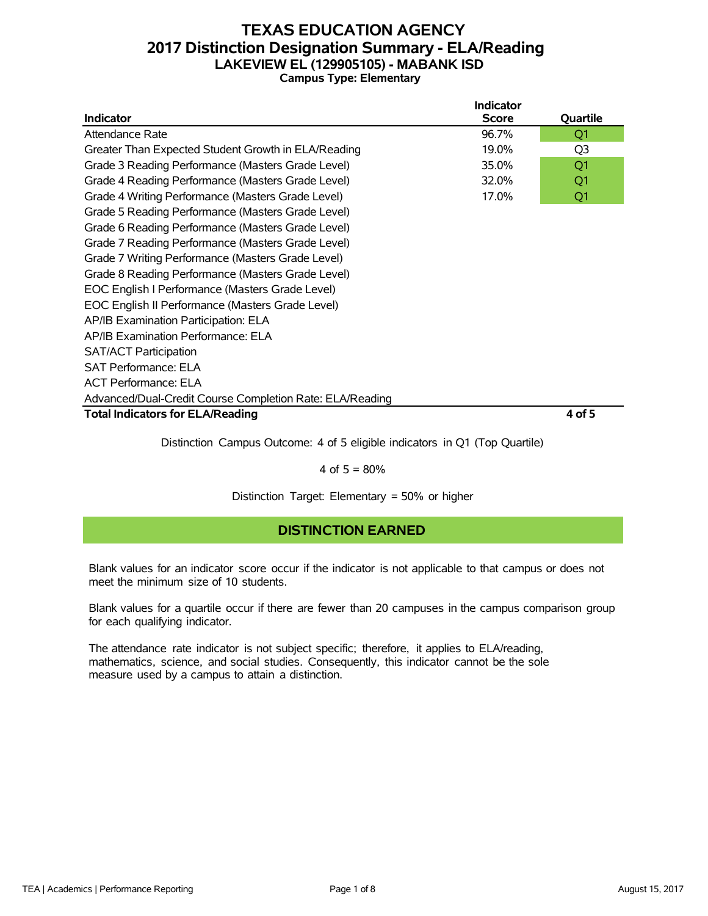## **TEXAS EDUCATION AGENCY 2017 Distinction Designation Summary - ELA/Reading LAKEVIEW EL (129905105) - MABANK ISD Campus Type: Elementary**

|                                                            | <b>Indicator</b> |                |  |  |  |  |  |  |  |
|------------------------------------------------------------|------------------|----------------|--|--|--|--|--|--|--|
| <b>Indicator</b>                                           | <b>Score</b>     | Quartile       |  |  |  |  |  |  |  |
| Attendance Rate                                            | 96.7%            | Q <sub>1</sub> |  |  |  |  |  |  |  |
| Greater Than Expected Student Growth in ELA/Reading        | 19.0%            | Q <sub>3</sub> |  |  |  |  |  |  |  |
| Grade 3 Reading Performance (Masters Grade Level)          | 35.0%            | Q <sub>1</sub> |  |  |  |  |  |  |  |
| Grade 4 Reading Performance (Masters Grade Level)<br>32.0% |                  |                |  |  |  |  |  |  |  |
| Grade 4 Writing Performance (Masters Grade Level)<br>17.0% |                  |                |  |  |  |  |  |  |  |
| Grade 5 Reading Performance (Masters Grade Level)          |                  |                |  |  |  |  |  |  |  |
| Grade 6 Reading Performance (Masters Grade Level)          |                  |                |  |  |  |  |  |  |  |
| Grade 7 Reading Performance (Masters Grade Level)          |                  |                |  |  |  |  |  |  |  |
| Grade 7 Writing Performance (Masters Grade Level)          |                  |                |  |  |  |  |  |  |  |
| Grade 8 Reading Performance (Masters Grade Level)          |                  |                |  |  |  |  |  |  |  |
| EOC English I Performance (Masters Grade Level)            |                  |                |  |  |  |  |  |  |  |
| EOC English II Performance (Masters Grade Level)           |                  |                |  |  |  |  |  |  |  |
| AP/IB Examination Participation: ELA                       |                  |                |  |  |  |  |  |  |  |
| AP/IB Examination Performance: ELA                         |                  |                |  |  |  |  |  |  |  |
| <b>SAT/ACT Participation</b>                               |                  |                |  |  |  |  |  |  |  |
| <b>SAT Performance: ELA</b>                                |                  |                |  |  |  |  |  |  |  |
| <b>ACT Performance: ELA</b>                                |                  |                |  |  |  |  |  |  |  |
| Advanced/Dual-Credit Course Completion Rate: ELA/Reading   |                  |                |  |  |  |  |  |  |  |
| <b>Total Indicators for ELA/Reading</b>                    |                  | 4 of 5         |  |  |  |  |  |  |  |

Distinction Campus Outcome: 4 of 5 eligible indicators in Q1 (Top Quartile)

### 4 of  $5 = 80%$

Distinction Target: Elementary = 50% or higher

## **DISTINCTION EARNED**

Blank values for an indicator score occur if the indicator is not applicable to that campus or does not meet the minimum size of 10 students.

Blank values for a quartile occur if there are fewer than 20 campuses in the campus comparison group for each qualifying indicator.

The attendance rate indicator is not subject specific; therefore, it applies to ELA/reading, mathematics, science, and social studies. Consequently, this indicator cannot be the sole measure used by a campus to attain a distinction.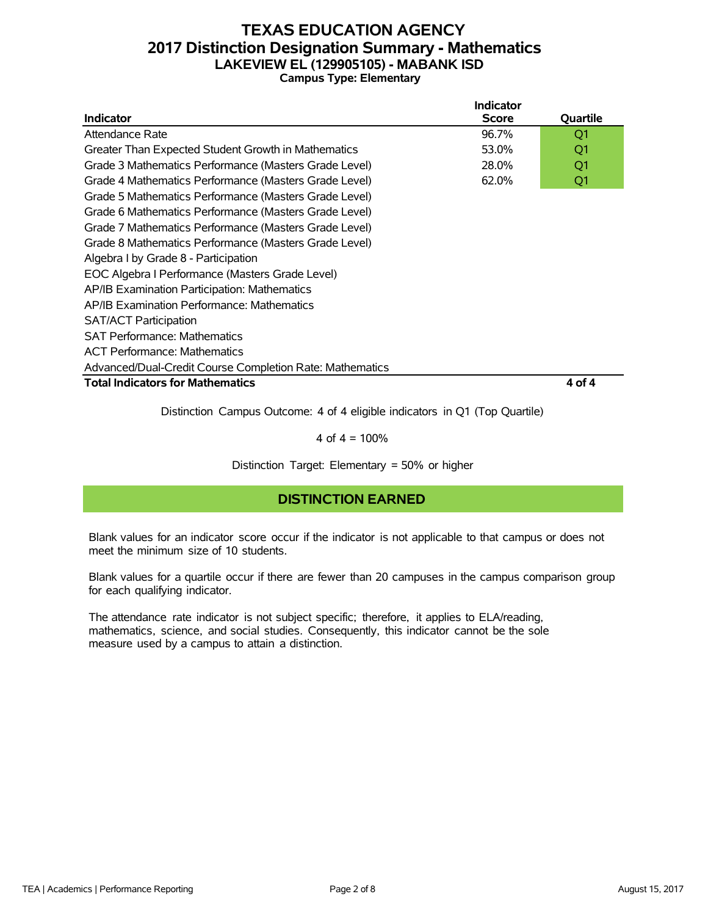## **TEXAS EDUCATION AGENCY 2017 Distinction Designation Summary - Mathematics LAKEVIEW EL (129905105) - MABANK ISD Campus Type: Elementary**

|                                                          | <b>Indicator</b> |          |
|----------------------------------------------------------|------------------|----------|
| <b>Indicator</b>                                         | <b>Score</b>     | Quartile |
| Attendance Rate                                          | 96.7%            | Q1       |
| Greater Than Expected Student Growth in Mathematics      | 53.0%            | Q1       |
| Grade 3 Mathematics Performance (Masters Grade Level)    | 28.0%            | Q1       |
| Grade 4 Mathematics Performance (Masters Grade Level)    | 62.0%            | Q1       |
| Grade 5 Mathematics Performance (Masters Grade Level)    |                  |          |
| Grade 6 Mathematics Performance (Masters Grade Level)    |                  |          |
| Grade 7 Mathematics Performance (Masters Grade Level)    |                  |          |
| Grade 8 Mathematics Performance (Masters Grade Level)    |                  |          |
| Algebra I by Grade 8 - Participation                     |                  |          |
| EOC Algebra I Performance (Masters Grade Level)          |                  |          |
| AP/IB Examination Participation: Mathematics             |                  |          |
| AP/IB Examination Performance: Mathematics               |                  |          |
| <b>SAT/ACT Participation</b>                             |                  |          |
| <b>SAT Performance: Mathematics</b>                      |                  |          |
| <b>ACT Performance: Mathematics</b>                      |                  |          |
| Advanced/Dual-Credit Course Completion Rate: Mathematics |                  |          |
| <b>Total Indicators for Mathematics</b>                  |                  | 4 of 4   |

Distinction Campus Outcome: 4 of 4 eligible indicators in Q1 (Top Quartile)

4 of  $4 = 100%$ 

Distinction Target: Elementary = 50% or higher

## **DISTINCTION EARNED**

Blank values for an indicator score occur if the indicator is not applicable to that campus or does not meet the minimum size of 10 students.

Blank values for a quartile occur if there are fewer than 20 campuses in the campus comparison group for each qualifying indicator.

The attendance rate indicator is not subject specific; therefore, it applies to ELA/reading, mathematics, science, and social studies. Consequently, this indicator cannot be the sole measure used by a campus to attain a distinction.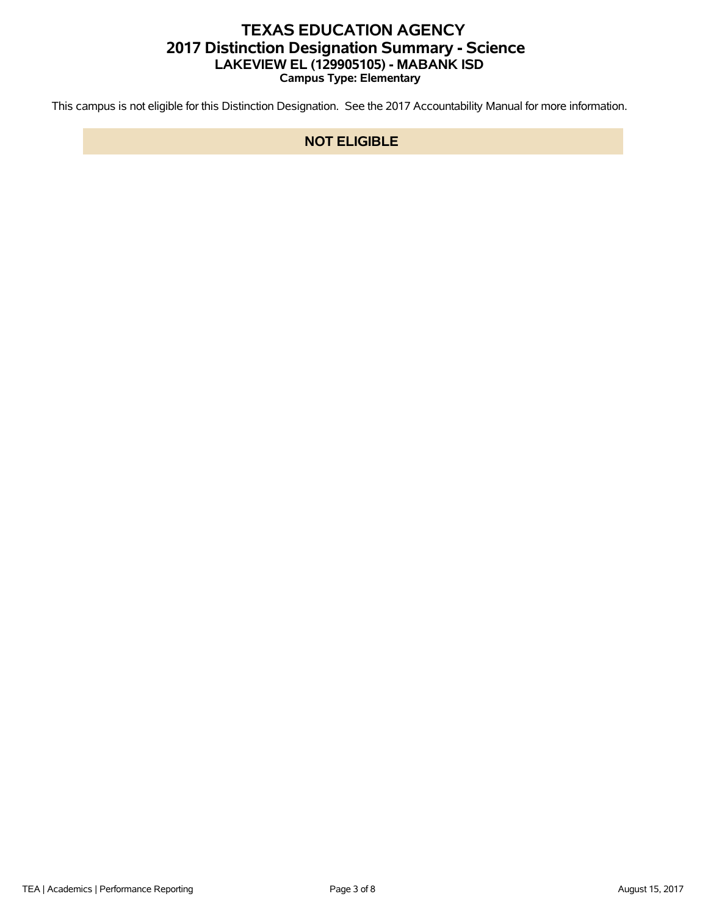# **TEXAS EDUCATION AGENCY 2017 Distinction Designation Summary - Science LAKEVIEW EL (129905105) - MABANK ISD Campus Type: Elementary**

This campus is not eligible for this Distinction Designation. See the 2017 Accountability Manual for more information.

## **NOT ELIGIBLE**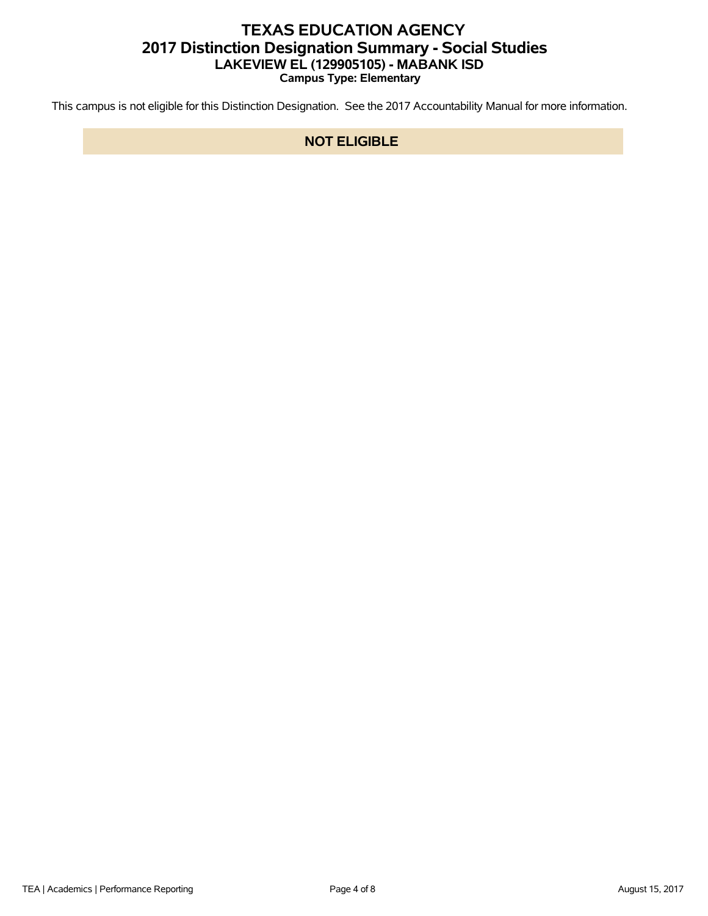# **TEXAS EDUCATION AGENCY 2017 Distinction Designation Summary - Social Studies LAKEVIEW EL (129905105) - MABANK ISD Campus Type: Elementary**

This campus is not eligible for this Distinction Designation. See the 2017 Accountability Manual for more information.

## **NOT ELIGIBLE**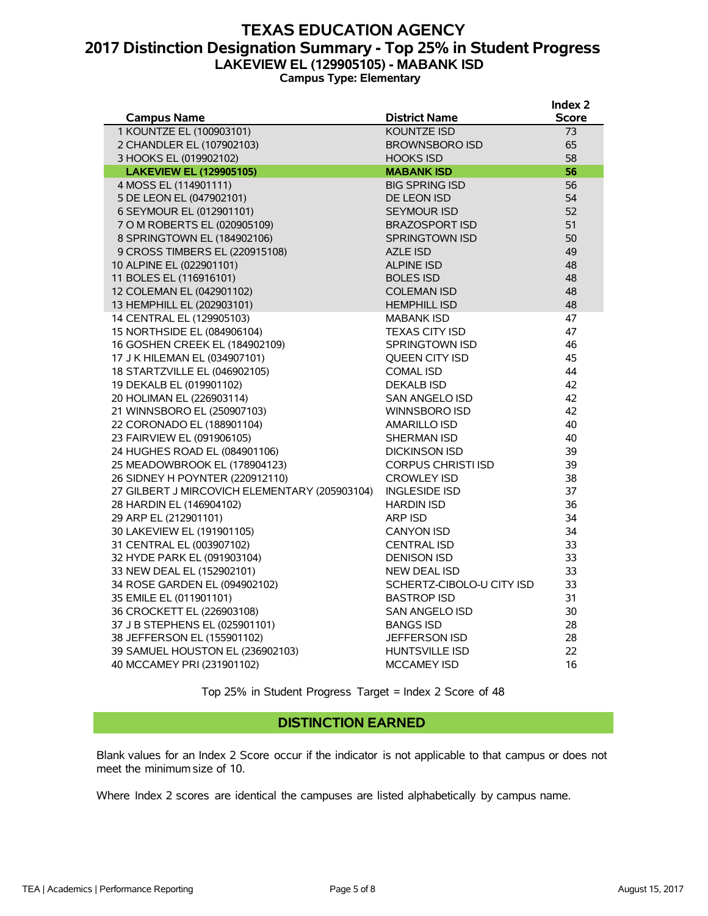## **TEXAS EDUCATION AGENCY 2017 Distinction Designation Summary - Top 25% in Student Progress LAKEVIEW EL (129905105) - MABANK ISD Campus Type: Elementary**

|                                               |                           | Index 2      |
|-----------------------------------------------|---------------------------|--------------|
| <b>Campus Name</b>                            | <b>District Name</b>      | <b>Score</b> |
| 1 KOUNTZE EL (100903101)                      | <b>KOUNTZE ISD</b>        | 73           |
| 2 CHANDLER EL (107902103)                     | <b>BROWNSBORO ISD</b>     | 65           |
| 3 HOOKS EL (019902102)                        | <b>HOOKS ISD</b>          | 58           |
| <b>LAKEVIEW EL (129905105)</b>                | <b>MABANK ISD</b>         | 56           |
| 4 MOSS EL (114901111)                         | <b>BIG SPRING ISD</b>     | 56           |
| 5 DE LEON EL (047902101)                      | DE LEON ISD               | 54           |
| 6 SEYMOUR EL (012901101)                      | <b>SEYMOUR ISD</b>        | 52           |
| 7 O M ROBERTS EL (020905109)                  | <b>BRAZOSPORT ISD</b>     | 51           |
| 8 SPRINGTOWN EL (184902106)                   | SPRINGTOWN ISD            | 50           |
| 9 CROSS TIMBERS EL (220915108)                | <b>AZLE ISD</b>           | 49           |
| 10 ALPINE EL (022901101)                      | <b>ALPINE ISD</b>         | 48           |
| 11 BOLES EL (116916101)                       | <b>BOLES ISD</b>          | 48           |
| 12 COLEMAN EL (042901102)                     | <b>COLEMAN ISD</b>        | 48           |
| 13 HEMPHILL EL (202903101)                    | <b>HEMPHILL ISD</b>       | 48           |
| 14 CENTRAL EL (129905103)                     | <b>MABANK ISD</b>         | 47           |
| 15 NORTHSIDE EL (084906104)                   | <b>TEXAS CITY ISD</b>     | 47           |
| 16 GOSHEN CREEK EL (184902109)                | SPRINGTOWN ISD            | 46           |
| 17 J K HILEMAN EL (034907101)                 | <b>OUEEN CITY ISD</b>     | 45           |
| 18 STARTZVILLE EL (046902105)                 | <b>COMAL ISD</b>          | 44           |
| 19 DEKALB EL (019901102)                      | <b>DEKALB ISD</b>         | 42           |
| 20 HOLIMAN EL (226903114)                     | SAN ANGELO ISD            | 42           |
| 21 WINNSBORO EL (250907103)                   | WINNSBORO ISD             | 42           |
| 22 CORONADO EL (188901104)                    | <b>AMARILLO ISD</b>       | 40           |
| 23 FAIRVIEW EL (091906105)                    | <b>SHERMAN ISD</b>        | 40           |
| 24 HUGHES ROAD EL (084901106)                 | <b>DICKINSON ISD</b>      | 39           |
| 25 MEADOWBROOK EL (178904123)                 | <b>CORPUS CHRISTI ISD</b> | 39           |
| 26 SIDNEY H POYNTER (220912110)               | <b>CROWLEY ISD</b>        | 38           |
| 27 GILBERT J MIRCOVICH ELEMENTARY (205903104) | <b>INGLESIDE ISD</b>      | 37           |
| 28 HARDIN EL (146904102)                      | <b>HARDIN ISD</b>         | 36           |
| 29 ARP EL (212901101)                         | <b>ARP ISD</b>            | 34           |
| 30 LAKEVIEW EL (191901105)                    | <b>CANYON ISD</b>         | 34           |
| 31 CENTRAL EL (003907102)                     | <b>CENTRAL ISD</b>        | 33           |
| 32 HYDE PARK EL (091903104)                   | <b>DENISON ISD</b>        | 33           |
| 33 NEW DEAL EL (152902101)                    | <b>NEW DEAL ISD</b>       | 33           |
| 34 ROSE GARDEN EL (094902102)                 | SCHERTZ-CIBOLO-U CITY ISD | 33           |
| 35 EMILE EL (011901101)                       | <b>BASTROP ISD</b>        | 31           |
| 36 CROCKETT EL (226903108)                    | <b>SAN ANGELO ISD</b>     | 30           |
| 37 J B STEPHENS EL (025901101)                | <b>BANGS ISD</b>          | 28           |
| 38 JEFFERSON EL (155901102)                   | <b>JEFFERSON ISD</b>      | 28           |
| 39 SAMUEL HOUSTON EL (236902103)              | <b>HUNTSVILLE ISD</b>     | 22           |
| 40 MCCAMEY PRI (231901102)                    | <b>MCCAMEY ISD</b>        | 16           |

Top 25% in Student Progress Target = Index 2 Score of 48

#### **DISTINCTION EARNED**

Blank values for an Index 2 Score occur if the indicator is not applicable to that campus or does not meet the minimum size of 10.

Where Index 2 scores are identical the campuses are listed alphabetically by campus name.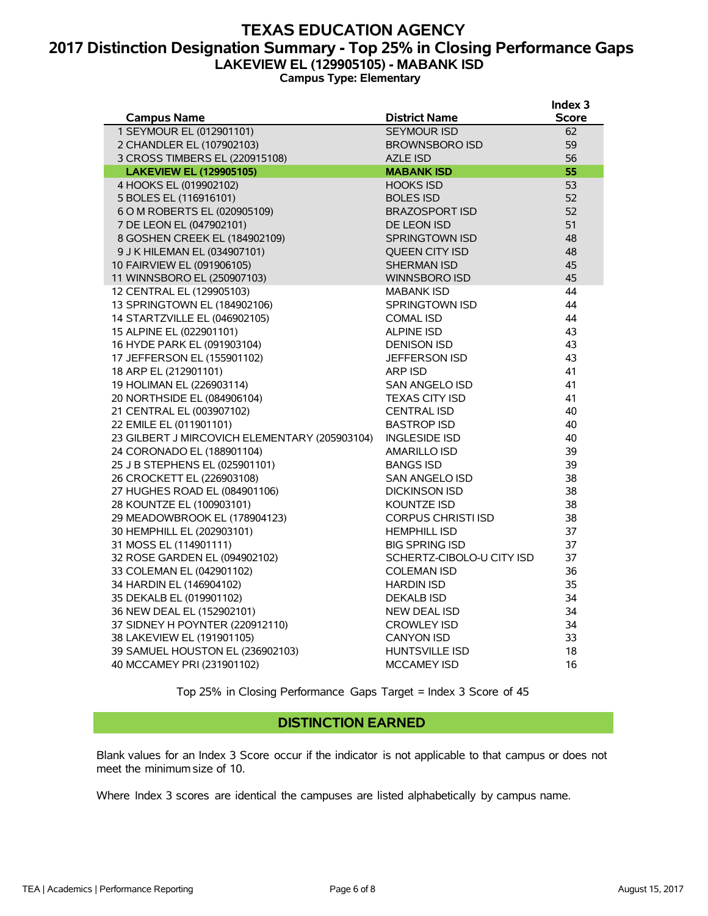## **TEXAS EDUCATION AGENCY 2017 Distinction Designation Summary - Top 25% in Closing Performance Gaps LAKEVIEW EL (129905105) - MABANK ISD Campus Type: Elementary**

|                                               |                           | Index 3      |
|-----------------------------------------------|---------------------------|--------------|
| <b>Campus Name</b>                            | <b>District Name</b>      | <b>Score</b> |
| 1 SEYMOUR EL (012901101)                      | <b>SEYMOUR ISD</b>        | 62           |
| 2 CHANDLER EL (107902103)                     | <b>BROWNSBORO ISD</b>     | 59           |
| 3 CROSS TIMBERS EL (220915108)                | <b>AZLE ISD</b>           | 56           |
| <b>LAKEVIEW EL (129905105)</b>                | <b>MABANK ISD</b>         | 55           |
| 4 HOOKS EL (019902102)                        | <b>HOOKS ISD</b>          | 53           |
| 5 BOLES EL (116916101)                        | <b>BOLES ISD</b>          | 52           |
| 6 O M ROBERTS EL (020905109)                  | <b>BRAZOSPORT ISD</b>     | 52           |
| 7 DE LEON EL (047902101)                      | DE LEON ISD               | 51           |
| 8 GOSHEN CREEK EL (184902109)                 | <b>SPRINGTOWN ISD</b>     | 48           |
| 9 J K HILEMAN EL (034907101)                  | <b>OUEEN CITY ISD</b>     | 48           |
| 10 FAIRVIEW EL (091906105)                    | <b>SHERMAN ISD</b>        | 45           |
| 11 WINNSBORO EL (250907103)                   | <b>WINNSBORO ISD</b>      | 45           |
| 12 CENTRAL EL (129905103)                     | <b>MABANK ISD</b>         | 44           |
| 13 SPRINGTOWN EL (184902106)                  | <b>SPRINGTOWN ISD</b>     | 44           |
| 14 STARTZVILLE EL (046902105)                 | <b>COMAL ISD</b>          | 44           |
| 15 ALPINE EL (022901101)                      | <b>ALPINE ISD</b>         | 43           |
| 16 HYDE PARK EL (091903104)                   | <b>DENISON ISD</b>        | 43           |
| 17 JEFFERSON EL (155901102)                   | <b>JEFFERSON ISD</b>      | 43           |
| 18 ARP EL (212901101)                         | ARP ISD                   | 41           |
| 19 HOLIMAN EL (226903114)                     | SAN ANGELO ISD            | 41           |
| 20 NORTHSIDE EL (084906104)                   | <b>TEXAS CITY ISD</b>     | 41           |
| 21 CENTRAL EL (003907102)                     | <b>CENTRAL ISD</b>        | 40           |
| 22 EMILE EL (011901101)                       | <b>BASTROP ISD</b>        | 40           |
| 23 GILBERT J MIRCOVICH ELEMENTARY (205903104) | <b>INGLESIDE ISD</b>      | 40           |
| 24 CORONADO EL (188901104)                    | <b>AMARILLO ISD</b>       | 39           |
| 25 J B STEPHENS EL (025901101)                | <b>BANGS ISD</b>          | 39           |
| 26 CROCKETT EL (226903108)                    | SAN ANGELO ISD            | 38           |
| 27 HUGHES ROAD EL (084901106)                 | <b>DICKINSON ISD</b>      | 38           |
| 28 KOUNTZE EL (100903101)                     | <b>KOUNTZE ISD</b>        | 38           |
| 29 MEADOWBROOK EL (178904123)                 | <b>CORPUS CHRISTI ISD</b> | 38           |
| 30 HEMPHILL EL (202903101)                    | <b>HEMPHILL ISD</b>       | 37           |
| 31 MOSS EL (114901111)                        | <b>BIG SPRING ISD</b>     | 37           |
| 32 ROSE GARDEN EL (094902102)                 | SCHERTZ-CIBOLO-U CITY ISD | 37           |
| 33 COLEMAN EL (042901102)                     | <b>COLEMAN ISD</b>        | 36           |
| 34 HARDIN EL (146904102)                      | <b>HARDIN ISD</b>         | 35           |
| 35 DEKALB EL (019901102)                      | <b>DEKALB ISD</b>         | 34           |
| 36 NEW DEAL EL (152902101)                    | NEW DEAL ISD              | 34           |
| 37 SIDNEY H POYNTER (220912110)               | <b>CROWLEY ISD</b>        | 34           |
| 38 LAKEVIEW EL (191901105)                    | <b>CANYON ISD</b>         | 33           |
| 39 SAMUEL HOUSTON EL (236902103)              | HUNTSVILLE ISD            | 18           |
| 40 MCCAMEY PRI (231901102)                    | <b>MCCAMEY ISD</b>        | 16           |

Top 25% in Closing Performance Gaps Target = Index 3 Score of 45

### **DISTINCTION EARNED**

Blank values for an Index 3 Score occur if the indicator is not applicable to that campus or does not meet the minimum size of 10.

Where Index 3 scores are identical the campuses are listed alphabetically by campus name.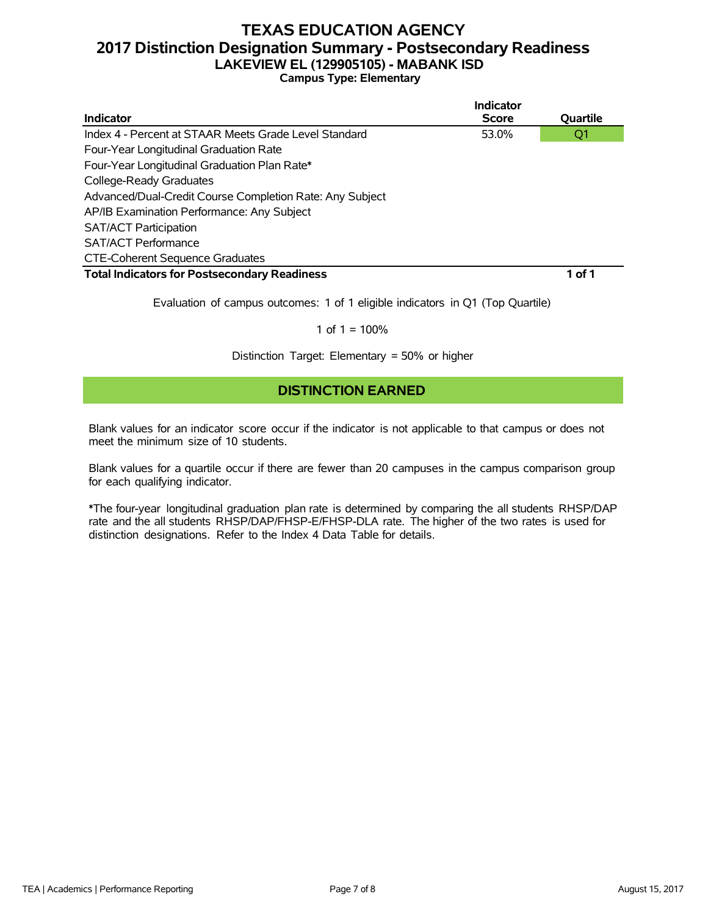# **TEXAS EDUCATION AGENCY 2017 Distinction Designation Summary - Postsecondary Readiness LAKEVIEW EL (129905105) - MABANK ISD**

**Campus Type: Elementary**

|                                                          | Indicator    |          |
|----------------------------------------------------------|--------------|----------|
| Indicator                                                | <b>Score</b> | Quartile |
| Index 4 - Percent at STAAR Meets Grade Level Standard    | 53.0%        | Q1       |
| Four-Year Longitudinal Graduation Rate                   |              |          |
| Four-Year Longitudinal Graduation Plan Rate*             |              |          |
| College-Ready Graduates                                  |              |          |
| Advanced/Dual-Credit Course Completion Rate: Any Subject |              |          |
| AP/IB Examination Performance: Any Subject               |              |          |
| <b>SAT/ACT Participation</b>                             |              |          |
| <b>SAT/ACT Performance</b>                               |              |          |
| <b>CTE-Coherent Sequence Graduates</b>                   |              |          |
| <b>Total Indicators for Postsecondary Readiness</b>      |              | 1 of 1   |
|                                                          |              |          |

Evaluation of campus outcomes: 1 of 1 eligible indicators in Q1 (Top Quartile)

#### 1 of  $1 = 100%$

Distinction Target: Elementary = 50% or higher

## **DISTINCTION EARNED**

Blank values for an indicator score occur if the indicator is not applicable to that campus or does not meet the minimum size of 10 students.

Blank values for a quartile occur if there are fewer than 20 campuses in the campus comparison group for each qualifying indicator.

\*The four-year longitudinal graduation plan rate is determined by comparing the all students RHSP/DAP rate and the all students RHSP/DAP/FHSP-E/FHSP-DLA rate. The higher of the two rates is used for distinction designations. Refer to the Index 4 Data Table for details.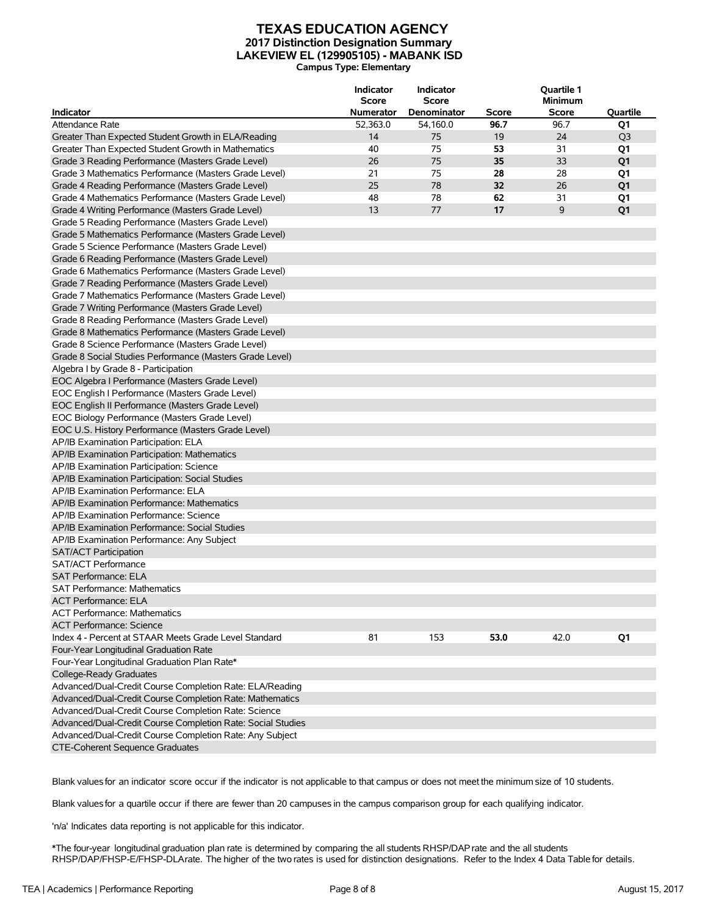#### **TEXAS EDUCATION AGENCY 2017 Distinction Designation Summary LAKEVIEW EL (129905105) - MABANK ISD Campus Type: Elementary**

| <b>Indicator</b>                                            | <b>Indicator</b><br><b>Score</b><br><b>Numerator</b> | Indicator<br><b>Score</b><br>Denominator | Score | Quartile 1<br><b>Minimum</b><br><b>Score</b> | Quartile       |
|-------------------------------------------------------------|------------------------------------------------------|------------------------------------------|-------|----------------------------------------------|----------------|
| Attendance Rate                                             | 52,363.0                                             | 54,160.0                                 | 96.7  | 96.7                                         |                |
|                                                             |                                                      |                                          |       |                                              | Q1             |
| Greater Than Expected Student Growth in ELA/Reading         | 14                                                   | 75                                       | 19    | 24                                           | Q <sub>3</sub> |
| Greater Than Expected Student Growth in Mathematics         | 40                                                   | 75                                       | 53    | 31                                           | Q1             |
| Grade 3 Reading Performance (Masters Grade Level)           | 26                                                   | 75                                       | 35    | 33                                           | Q1             |
| Grade 3 Mathematics Performance (Masters Grade Level)       | 21                                                   | 75                                       | 28    | 28                                           | Q1             |
| Grade 4 Reading Performance (Masters Grade Level)           | 25                                                   | 78                                       | 32    | 26                                           | Q <sub>1</sub> |
| Grade 4 Mathematics Performance (Masters Grade Level)       | 48                                                   | 78                                       | 62    | 31                                           | Q1             |
| Grade 4 Writing Performance (Masters Grade Level)           | 13                                                   | 77                                       | 17    | 9                                            | Q <sub>1</sub> |
| Grade 5 Reading Performance (Masters Grade Level)           |                                                      |                                          |       |                                              |                |
| Grade 5 Mathematics Performance (Masters Grade Level)       |                                                      |                                          |       |                                              |                |
| Grade 5 Science Performance (Masters Grade Level)           |                                                      |                                          |       |                                              |                |
| Grade 6 Reading Performance (Masters Grade Level)           |                                                      |                                          |       |                                              |                |
| Grade 6 Mathematics Performance (Masters Grade Level)       |                                                      |                                          |       |                                              |                |
| Grade 7 Reading Performance (Masters Grade Level)           |                                                      |                                          |       |                                              |                |
| Grade 7 Mathematics Performance (Masters Grade Level)       |                                                      |                                          |       |                                              |                |
| Grade 7 Writing Performance (Masters Grade Level)           |                                                      |                                          |       |                                              |                |
| Grade 8 Reading Performance (Masters Grade Level)           |                                                      |                                          |       |                                              |                |
| Grade 8 Mathematics Performance (Masters Grade Level)       |                                                      |                                          |       |                                              |                |
| Grade 8 Science Performance (Masters Grade Level)           |                                                      |                                          |       |                                              |                |
| Grade 8 Social Studies Performance (Masters Grade Level)    |                                                      |                                          |       |                                              |                |
| Algebra I by Grade 8 - Participation                        |                                                      |                                          |       |                                              |                |
| EOC Algebra I Performance (Masters Grade Level)             |                                                      |                                          |       |                                              |                |
| EOC English I Performance (Masters Grade Level)             |                                                      |                                          |       |                                              |                |
| EOC English II Performance (Masters Grade Level)            |                                                      |                                          |       |                                              |                |
| EOC Biology Performance (Masters Grade Level)               |                                                      |                                          |       |                                              |                |
| EOC U.S. History Performance (Masters Grade Level)          |                                                      |                                          |       |                                              |                |
| AP/IB Examination Participation: ELA                        |                                                      |                                          |       |                                              |                |
| AP/IB Examination Participation: Mathematics                |                                                      |                                          |       |                                              |                |
| AP/IB Examination Participation: Science                    |                                                      |                                          |       |                                              |                |
| AP/IB Examination Participation: Social Studies             |                                                      |                                          |       |                                              |                |
| AP/IB Examination Performance: ELA                          |                                                      |                                          |       |                                              |                |
| AP/IB Examination Performance: Mathematics                  |                                                      |                                          |       |                                              |                |
| AP/IB Examination Performance: Science                      |                                                      |                                          |       |                                              |                |
| AP/IB Examination Performance: Social Studies               |                                                      |                                          |       |                                              |                |
| AP/IB Examination Performance: Any Subject                  |                                                      |                                          |       |                                              |                |
| <b>SAT/ACT Participation</b>                                |                                                      |                                          |       |                                              |                |
| <b>SAT/ACT Performance</b>                                  |                                                      |                                          |       |                                              |                |
| <b>SAT Performance: ELA</b>                                 |                                                      |                                          |       |                                              |                |
| SAT Performance: Mathematics                                |                                                      |                                          |       |                                              |                |
| ACT Performance: ELA                                        |                                                      |                                          |       |                                              |                |
| <b>ACT Performance: Mathematics</b>                         |                                                      |                                          |       |                                              |                |
| <b>ACT Performance: Science</b>                             |                                                      |                                          |       |                                              |                |
| Index 4 - Percent at STAAR Meets Grade Level Standard       | 81                                                   | 153                                      | 53.0  | 42.0                                         | Q1             |
| Four-Year Longitudinal Graduation Rate                      |                                                      |                                          |       |                                              |                |
| Four-Year Longitudinal Graduation Plan Rate*                |                                                      |                                          |       |                                              |                |
|                                                             |                                                      |                                          |       |                                              |                |
| College-Ready Graduates                                     |                                                      |                                          |       |                                              |                |
| Advanced/Dual-Credit Course Completion Rate: ELA/Reading    |                                                      |                                          |       |                                              |                |
| Advanced/Dual-Credit Course Completion Rate: Mathematics    |                                                      |                                          |       |                                              |                |
| Advanced/Dual-Credit Course Completion Rate: Science        |                                                      |                                          |       |                                              |                |
| Advanced/Dual-Credit Course Completion Rate: Social Studies |                                                      |                                          |       |                                              |                |
| Advanced/Dual-Credit Course Completion Rate: Any Subject    |                                                      |                                          |       |                                              |                |
| CTE-Coherent Sequence Graduates                             |                                                      |                                          |       |                                              |                |

Blank valuesfor an indicator score occur if the indicator is not applicable to that campus or does not meet the minimum size of 10 students.

Blank valuesfor a quartile occur if there are fewer than 20 campuses in the campus comparison group for each qualifying indicator.

'n/a' Indicates data reporting is not applicable for this indicator.

\*The four-year longitudinal graduation plan rate is determined by comparing the all students RHSP/DAPrate and the all students RHSP/DAP/FHSP-E/FHSP-DLArate. The higher of the two rates is used for distinction designations. Refer to the Index 4 Data Table for details.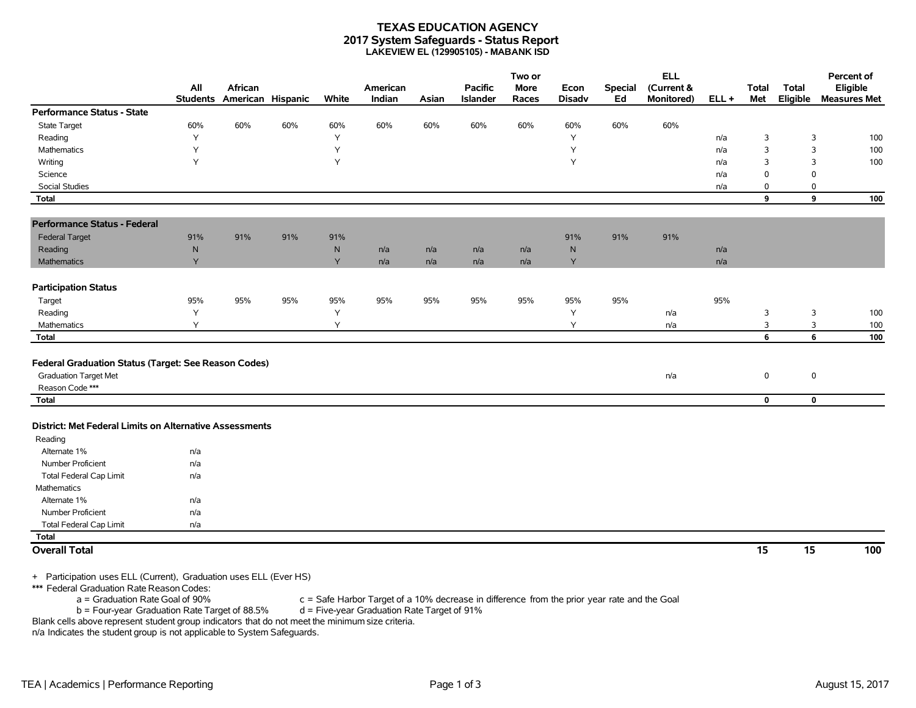#### **TEXAS EDUCATION AGENCY 2017 System Safeguards - Status Report LAKEVIEW EL (129905105) - MABANK ISD**

|                                                                                                         | All       | African                    |     |       | American |       | <b>Pacific</b>  | Two or<br><b>More</b> | Econ          | <b>Special</b> | <b>ELL</b><br>(Current & |         | <b>Total</b> | <b>Total</b> | Percent of<br>Eligible |
|---------------------------------------------------------------------------------------------------------|-----------|----------------------------|-----|-------|----------|-------|-----------------|-----------------------|---------------|----------------|--------------------------|---------|--------------|--------------|------------------------|
|                                                                                                         |           | Students American Hispanic |     | White | Indian   | Asian | <b>Islander</b> | Races                 | <b>Disadv</b> | Ed             | Monitored)               | $ELL +$ | Met          | Eligible     | <b>Measures Met</b>    |
| <b>Performance Status - State</b>                                                                       |           |                            |     |       |          |       |                 |                       |               |                |                          |         |              |              |                        |
| State Target                                                                                            | 60%       | 60%                        | 60% | 60%   | 60%      | 60%   | 60%             | 60%                   | 60%           | 60%            | 60%                      |         |              |              |                        |
| Reading                                                                                                 | Y         |                            |     | Y     |          |       |                 |                       | Υ             |                |                          | n/a     | 3            | 3            | 100                    |
| Mathematics                                                                                             | Υ         |                            |     | Y     |          |       |                 |                       | Y             |                |                          | n/a     | 3            | 3            | 100                    |
| Writing                                                                                                 | Y         |                            |     | Y     |          |       |                 |                       | Υ             |                |                          | n/a     | 3            | 3            | 100                    |
| Science                                                                                                 |           |                            |     |       |          |       |                 |                       |               |                |                          | n/a     | 0            | $\Omega$     |                        |
| Social Studies                                                                                          |           |                            |     |       |          |       |                 |                       |               |                |                          | n/a     | 0            | 0            |                        |
| <b>Total</b>                                                                                            |           |                            |     |       |          |       |                 |                       |               |                |                          |         | 9            | 9            | 100                    |
| <b>Performance Status - Federal</b>                                                                     |           |                            |     |       |          |       |                 |                       |               |                |                          |         |              |              |                        |
| <b>Federal Target</b>                                                                                   | 91%       | 91%                        | 91% | 91%   |          |       |                 |                       | 91%           | 91%            | 91%                      |         |              |              |                        |
| Reading                                                                                                 | ${\sf N}$ |                            |     | N     | n/a      | n/a   | n/a             | n/a                   | $\mathsf{N}$  |                |                          | n/a     |              |              |                        |
| Mathematics                                                                                             | Y         |                            |     | Y     | n/a      | n/a   | n/a             | n/a                   | Y             |                |                          | n/a     |              |              |                        |
| <b>Participation Status</b>                                                                             |           |                            |     |       |          |       |                 |                       |               |                |                          |         |              |              |                        |
| Target                                                                                                  | 95%       | 95%                        | 95% | 95%   | 95%      | 95%   | 95%             | 95%                   | 95%           | 95%            |                          | 95%     |              |              |                        |
| Reading                                                                                                 | Y         |                            |     | Y     |          |       |                 |                       | Υ             |                | n/a                      |         | 3            | 3            | 100                    |
| Mathematics                                                                                             | Y         |                            |     | Y     |          |       |                 |                       | Υ             |                | n/a                      |         | 3            | 3            | 100                    |
| <b>Total</b>                                                                                            |           |                            |     |       |          |       |                 |                       |               |                |                          |         | 6            | 6            | 100                    |
| Federal Graduation Status (Target: See Reason Codes)<br><b>Graduation Target Met</b><br>Reason Code *** |           |                            |     |       |          |       |                 |                       |               |                | n/a                      |         | $\mathbf 0$  | $\mathbf 0$  |                        |
| <b>Total</b>                                                                                            |           |                            |     |       |          |       |                 |                       |               |                |                          |         | $\mathbf 0$  | $\mathbf 0$  |                        |
| District: Met Federal Limits on Alternative Assessments<br>Reading                                      |           |                            |     |       |          |       |                 |                       |               |                |                          |         |              |              |                        |
| Alternate 1%                                                                                            | n/a       |                            |     |       |          |       |                 |                       |               |                |                          |         |              |              |                        |
| Number Proficient                                                                                       | n/a       |                            |     |       |          |       |                 |                       |               |                |                          |         |              |              |                        |
| <b>Total Federal Cap Limit</b>                                                                          | n/a       |                            |     |       |          |       |                 |                       |               |                |                          |         |              |              |                        |
| Mathematics                                                                                             |           |                            |     |       |          |       |                 |                       |               |                |                          |         |              |              |                        |
| Alternate 1%                                                                                            | n/a       |                            |     |       |          |       |                 |                       |               |                |                          |         |              |              |                        |
| Number Proficient                                                                                       | n/a       |                            |     |       |          |       |                 |                       |               |                |                          |         |              |              |                        |
| <b>Total Federal Cap Limit</b>                                                                          | n/a       |                            |     |       |          |       |                 |                       |               |                |                          |         |              |              |                        |
| <b>Total</b>                                                                                            |           |                            |     |       |          |       |                 |                       |               |                |                          |         |              |              |                        |
| <b>Overall Total</b>                                                                                    |           |                            |     |       |          |       |                 |                       |               |                |                          |         | 15           | 15           | 100                    |

+ Participation uses ELL (Current), Graduation uses ELL (Ever HS)

\*\*\* Federal Graduation Rate Reason Codes:

a = Graduation Rate Goal of 90% c = Safe Harbor Target of a 10% decrease in difference from the prior year rate and the Goal<br>b = Four-year Graduation Rate Target of 88.5% d = Five-year Graduation Rate Target of 91%

 $b =$  Four-year Graduation Rate Target of 88.5%

Blank cells above represent student group indicators that do not meet the minimum size criteria. n/a Indicates the student group is not applicable to System Safeguards.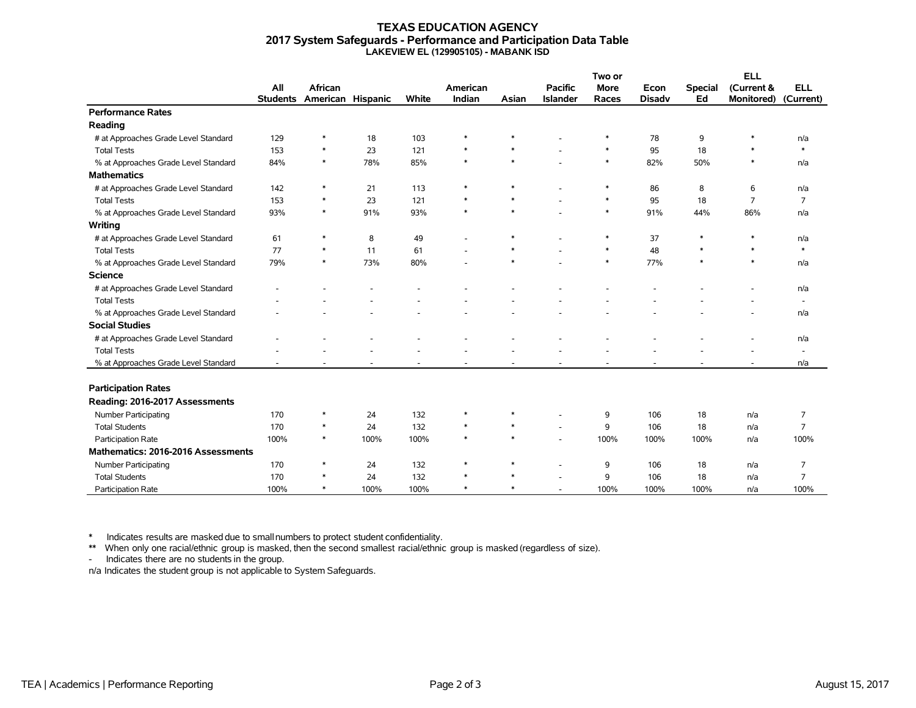#### **TEXAS EDUCATION AGENCY 2017 System Safeguards - Performance and Participation Data Table LAKEVIEW EL (129905105) - MABANK ISD**

|                                      |                 |                   |      |       |          |        |                 | Two or      |               | <b>ELL</b>     |                   |                          |
|--------------------------------------|-----------------|-------------------|------|-------|----------|--------|-----------------|-------------|---------------|----------------|-------------------|--------------------------|
|                                      | All             | <b>African</b>    |      |       | American |        | <b>Pacific</b>  | <b>More</b> | Econ          | <b>Special</b> | (Current &        | <b>ELL</b>               |
|                                      | <b>Students</b> | American Hispanic |      | White | Indian   | Asian  | <b>Islander</b> | Races       | <b>Disadv</b> | Ed             | <b>Monitored)</b> | (Current)                |
| <b>Performance Rates</b>             |                 |                   |      |       |          |        |                 |             |               |                |                   |                          |
| Reading                              |                 |                   |      |       |          |        |                 |             |               |                |                   |                          |
| # at Approaches Grade Level Standard | 129             | $\ast$            | 18   | 103   | $\ast$   |        |                 | *           | 78            | 9              |                   | n/a                      |
| <b>Total Tests</b>                   | 153             | $\ast$            | 23   | 121   | $\ast$   | $\ast$ |                 | $\ast$      | 95            | 18             | $\ast$            | $\ast$                   |
| % at Approaches Grade Level Standard | 84%             | $\ast$            | 78%  | 85%   | $\ast$   | $\ast$ |                 | $\ast$      | 82%           | 50%            | $\ast$            | n/a                      |
| <b>Mathematics</b>                   |                 |                   |      |       |          |        |                 |             |               |                |                   |                          |
| # at Approaches Grade Level Standard | 142             | *                 | 21   | 113   | $\ast$   | $\ast$ |                 | $\ast$      | 86            | 8              | 6                 | n/a                      |
| <b>Total Tests</b>                   | 153             | $\ast$            | 23   | 121   | $\ast$   | $\ast$ |                 | $\ast$      | 95            | 18             | $\overline{7}$    | $\overline{7}$           |
| % at Approaches Grade Level Standard | 93%             | $\ast$            | 91%  | 93%   | $\ast$   | $\ast$ |                 | $\ast$      | 91%           | 44%            | 86%               | n/a                      |
| Writing                              |                 |                   |      |       |          |        |                 |             |               |                |                   |                          |
| # at Approaches Grade Level Standard | 61              | $\ast$            | 8    | 49    |          | $\ast$ |                 | $\ast$      | 37            | $\ast$         |                   | n/a                      |
| <b>Total Tests</b>                   | 77              | $\ast$            | 11   | 61    |          | $\ast$ |                 | $\ast$      | 48            | $\ast$         | $\ast$            | $\ast$                   |
| % at Approaches Grade Level Standard | 79%             | $\ast$            | 73%  | 80%   |          | $\ast$ |                 | $\ast$      | 77%           | $\ast$         | $\ast$            | n/a                      |
| <b>Science</b>                       |                 |                   |      |       |          |        |                 |             |               |                |                   |                          |
| # at Approaches Grade Level Standard |                 |                   |      |       |          |        |                 |             |               |                |                   | n/a                      |
| <b>Total Tests</b>                   |                 |                   |      |       |          |        |                 |             |               |                |                   | $\overline{\phantom{a}}$ |
| % at Approaches Grade Level Standard |                 |                   |      |       |          |        |                 |             |               |                |                   | n/a                      |
| <b>Social Studies</b>                |                 |                   |      |       |          |        |                 |             |               |                |                   |                          |
| # at Approaches Grade Level Standard |                 |                   |      |       |          |        |                 |             |               |                |                   | n/a                      |
| <b>Total Tests</b>                   |                 |                   |      |       |          |        |                 |             |               |                |                   | $\overline{\phantom{a}}$ |
| % at Approaches Grade Level Standard |                 |                   |      |       |          |        |                 |             |               |                |                   | n/a                      |
|                                      |                 |                   |      |       |          |        |                 |             |               |                |                   |                          |
| <b>Participation Rates</b>           |                 |                   |      |       |          |        |                 |             |               |                |                   |                          |
| Reading: 2016-2017 Assessments       |                 |                   |      |       |          |        |                 |             |               |                |                   |                          |
| <b>Number Participating</b>          | 170             | ∗                 | 24   | 132   | $\ast$   | $\ast$ |                 | 9           | 106           | 18             | n/a               | 7                        |
| <b>Total Students</b>                | 170             | $\ast$            | 24   | 132   | $\ast$   | $\ast$ |                 | 9           | 106           | 18             | n/a               | $\overline{7}$           |
| Participation Rate                   | 100%            | $\ast$            | 100% | 100%  | $\ast$   | $\ast$ |                 | 100%        | 100%          | 100%           | n/a               | 100%                     |
| Mathematics: 2016-2016 Assessments   |                 |                   |      |       |          |        |                 |             |               |                |                   |                          |
| Number Participating                 | 170             | $\ast$            | 24   | 132   | $\ast$   | $\ast$ |                 | 9           | 106           | 18             | n/a               | 7                        |
| <b>Total Students</b>                | 170             | $\ast$            | 24   | 132   | $\ast$   | $\ast$ |                 | 9           | 106           | 18             | n/a               | $\overline{7}$           |
| <b>Participation Rate</b>            | 100%            | $\ast$            | 100% | 100%  | $\ast$   | $\ast$ |                 | 100%        | 100%          | 100%           | n/a               | 100%                     |

\* Indicates results are masked due to smallnumbers to protect student confidentiality.

\*\* When only one racial/ethnic group is masked, then the second smallest racial/ethnic group is masked (regardless of size).

- Indicates there are no students in the group.

n/a Indicates the student group is not applicable to System Safeguards.